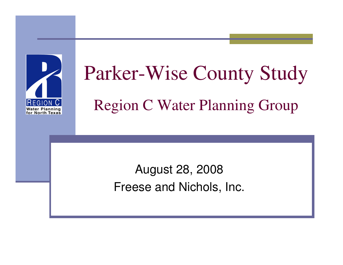

# Parker-Wise County StudyRegion C Water Planning Group

August 28, 2008Freese and Nichols, Inc.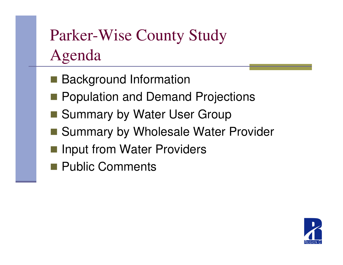## Parker-Wise County StudyAgenda

- Background Information
- **Population and Demand Projections**
- Summary by Water User Group
- Summary by Wholesale Water Provider
- h<br>M Input from Water Providers
- **Public Comments**

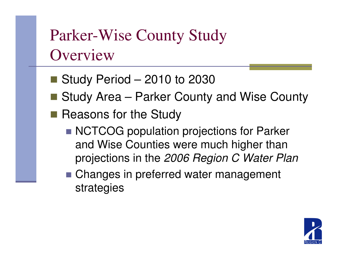## Parker-Wise County Study**Overview**

- Study Period 2010 to 2030
- Study Area Parker County and Wise County
- Reasons for the Study
	- NCTCOG population projections for Parker and Wise Counties were much higher than projections in the 2006 Region C Water Plan
	- Changes in preferred water management strategies

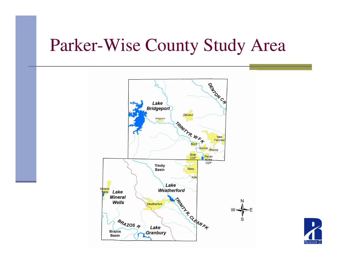### Parker-Wise County Study Area



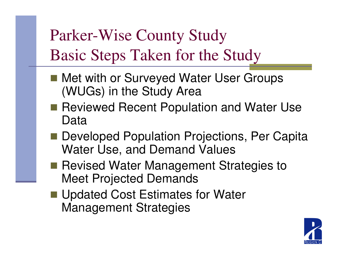Parker-Wise County StudyBasic Steps Taken for the Study

- Met with or Surveyed Water User Groups<br>(WILCe) in the Study Area (WUGs) in the Study Area
- Reviewed Recent Population and Water Use Data
- Developed Population Projections, Per Capita Water Use, and Demand Values
- Revised Water Management Strategies to Meet Projected Demands
- Updated Cost Estimates for Water Management Strategies

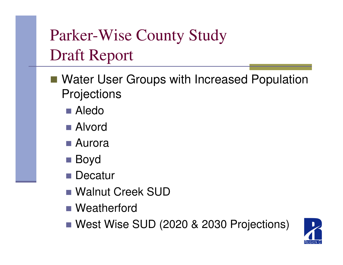- Water User Groups with Increased Population **Projections** 
	- Aledo
	- Alvord
	- Aurora
	- **Boyd**
	- Decatur
	- Walnut Creek SUD
	- Weatherford
	- West Wise SUD (2020 & 2030 Projections)

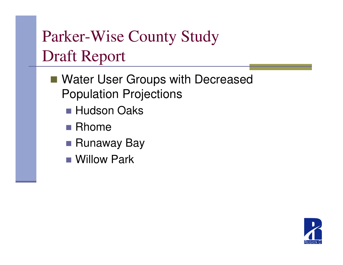- Water User Groups with Decreased Population Projections
	- Hudson Oaks
	- Rhome
	- Runaway Bay
	- Willow Park

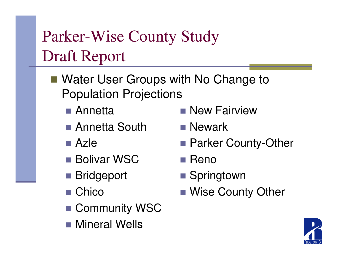- Water User Groups with No Change to Population Projections
	- Annetta
	- Annetta South
	- Azle
	- Bolivar WSC
	- Bridgeport
	- Chico
	- Community WSC
	- Mineral Wells
- **New Fairview**
- **Newark**
- Parker County-Other
- Reno
- Springtown
- Wise County Other

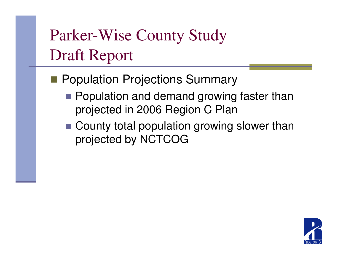- **Population Projections Summary** 
	- **Population and demand growing faster than** projected in 2006 Region C Plan
	- County total population growing slower than projected by NCTCOG

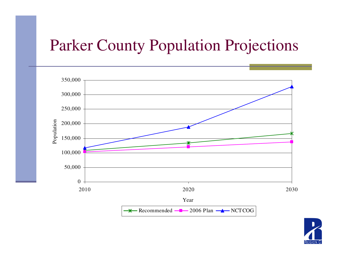#### Parker County Population Projections



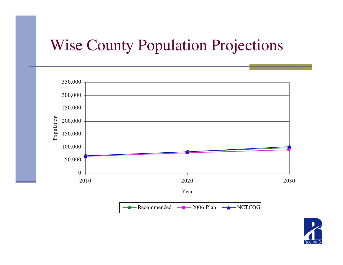#### Wise County Population Projections



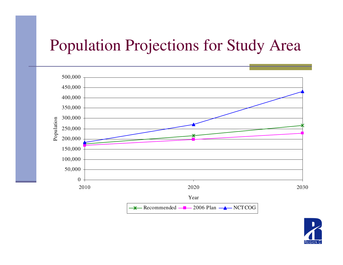### Population Projections for Study Area



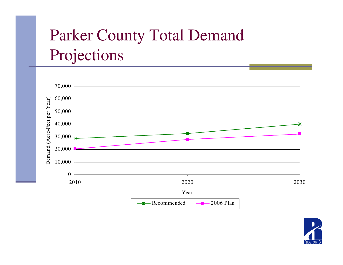## Parker County Total Demand Projections



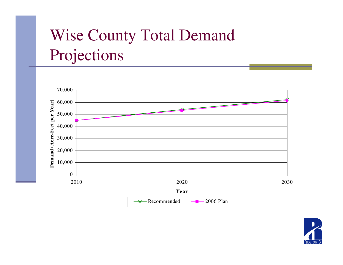## Wise County Total Demand Projections



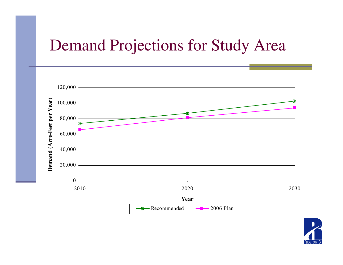#### Demand Projections for Study Area



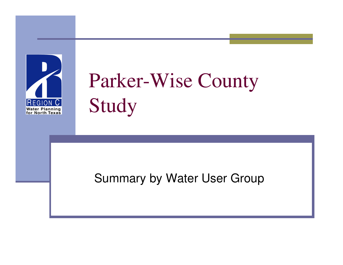

# Parker-Wise County Study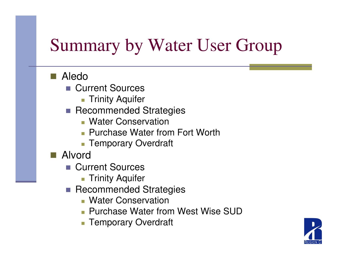#### ■ Aledo

- Current Sources
	- Trinity Aquifer
- **Recommended Strategies** 
	- **Nater Conservation**
	- **Purchase Water from Fort Worth**
	- **Temporary Overdraft**
- Alvord
	- Current Sources
		- Trinity Aquifer
	- **Recommended Strategies** 
		- **Nater Conservation**
		- **Purchase Water from West Wise SUD**
		- **Temporary Overdraft**

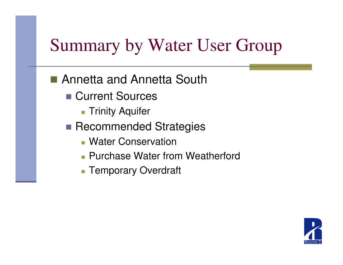## ■ Annetta and Annetta South

- Current Sources
	- **Trinity Aquifer**
- Recommended Strategies
	- **Nater Conservation**
	- **Purchase Water from Weatherford**
	- Temporary Overdraft

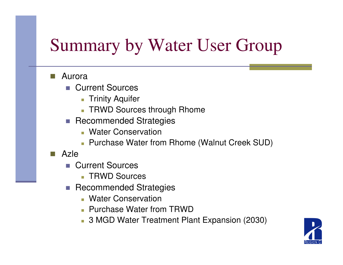#### e i Aurora

- P. Current Sources
	- Trinity Aquifer
	- TRWD Sources through Rhome
- **Recommended Strategies** 
	- **Nater Conservation**
	- Purchase Water from Rhome (Walnut Creek SUD)
- $\mathcal{L}_{\mathcal{A}}$  Azle
	- b. Current Sources
		- TRWD Sources
	- **Recommended Strategies**  $\mathcal{L}_{\mathcal{A}}$ 
		- **Nater Conservation**
		- Purchase Water from TRWD
		- 3 MGD Water Treatment Plant Expansion (2030)

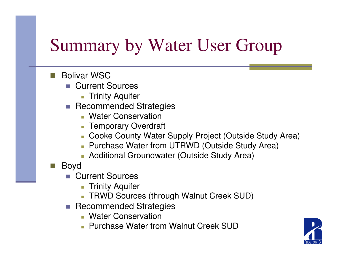- F. Bolivar WSC
	- Current Sources
		- Trinity Aquifer
	- **Recommended Strategies** 
		- **Nater Conservation**
		- Temporary Overdraft
		- Cooke County Water Supply Project (Outside Study Area)
		- Purchase Water from UTRWD (Outside Study Area)
		- Additional Groundwater (Outside Study Area)
- e i Boyd
	- Current Sources
		- Trinity Aquifer
		- TRWD Sources (through Walnut Creek SUD)
	- **Recommended Strategies** 
		- **Nater Conservation**
		- **Purchase Water from Walnut Creek SUD**

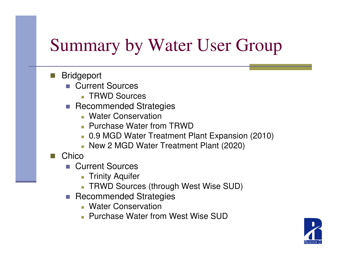- F. **Bridgeport** 
	- Current Sources
		- TRWD Sources
	- **Recommended Strategies** 
		- **Nater Conservation**
		- Purchase Water from TRWD
		- 0.9 MGD Water Treatment Plant Expansion (2010)
		- New 2 MGD Water Treatment Plant (2020)
- F. **Chico** 
	- P. Current Sources
		- Trinity Aquifer
		- TRWD Sources (through West Wise SUD)
	- **Recommended Strategies** 
		- **Nater Conservation**
		- **Purchase Water from West Wise SUD**

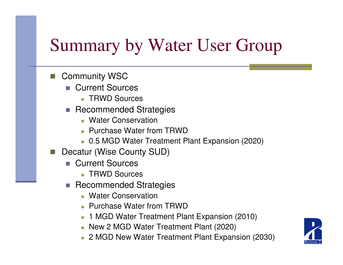- e i Community WSC
	- Current Sources P.
		- TRWD Sources
	- **Recommended Strategies** 
		- **Nater Conservation**
		- **Purchase Water from TRWD**
		- 0.5 MGD Water Treatment Plant Expansion (2020)
- e i Decatur (Wise County SUD)
	- b. Current Sources
		- TRWD Sources
	- **Recommended Strategies** 
		- **Nater Conservation**
		- **Purchase Water from TRWD**
		- 1 MGD Water Treatment Plant Expansion (2010)
		- New 2 MGD Water Treatment Plant (2020)
		- 2 MGD New Water Treatment Plant Expansion (2030)

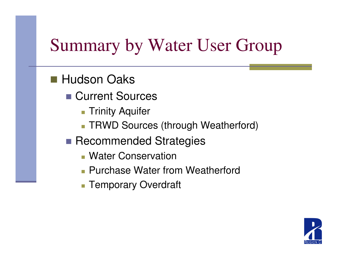## ■ Hudson Oaks

- Current Sources
	- **Trinity Aquifer**
	- TRWD Sources (through Weatherford)
- Recommended Strategies
	- **Nater Conservation**
	- **Purchase Water from Weatherford**
	- F. **Temporary Overdraft**

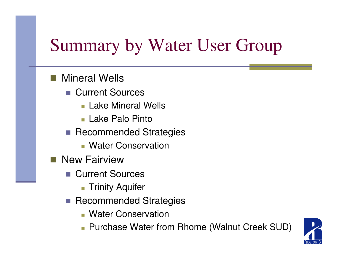#### $\mathbb{R}^n$ Mineral Wells

- Current Sources
	- **Lake Mineral Wells**
	- Lake Palo Pinto
- **Recommended Strategies** 
	- **Nater Conservation**
- **New Fairview** 
	- Current Sources
		- Trinity Aquifer
	- $\sim$  Recommended Strategies
		- **Nater Conservation**
		- Purchase Water from Rhome (Walnut Creek SUD)

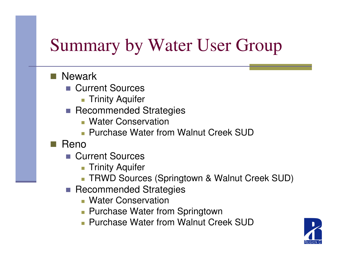#### ■ Newark

- Current Sources
	- Trinity Aquifer
- **Recommended Strategies** 
	- **Nater Conservation**
	- **Purchase Water from Walnut Creek SUD**
- $\blacksquare$  Reno
	- Current Sources
		- Trinity Aquifer
		- TRWD Sources (Springtown & Walnut Creek SUD)
	- **Recommended Strategies** 
		- **Nater Conservation**
		- **Purchase Water from Springtown**
		- **Purchase Water from Walnut Creek SUD**

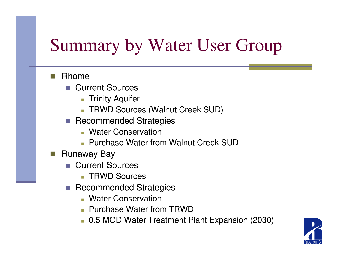#### e i Rhome

- P. Current Sources
	- Trinity Aquifer
	- TRWD Sources (Walnut Creek SUD)
- **Recommended Strategies** 
	- **Nater Conservation**
	- **Purchase Water from Walnut Creek SUD**
- F. Runaway Bay
	- b. Current Sources
		- TRWD Sources
	- **Recommended Strategies**  $\mathcal{L}_{\mathcal{A}}$ 
		- **Nater Conservation**
		- Purchase Water from TRWD
		- 0.5 MGD Water Treatment Plant Expansion (2030)

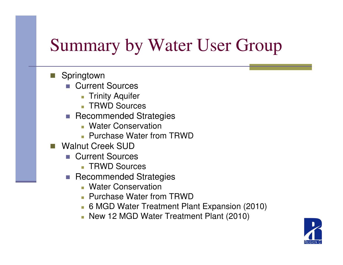- Springtown
	- Current Sources
		- Trinity Aquifer
		- TRWD Sources
	- **Recommended Strategies** 
		- **Nater Conservation**
		- Purchase Water from TRWD
- Walnut Creek SUD
	- Current Sources
		- TRWD Sources
	- **Recommended Strategies** 
		- **Nater Conservation**
		- Purchase Water from TRWD
		- 6 MGD Water Treatment Plant Expansion (2010)
		- New 12 MGD Water Treatment Plant (2010)

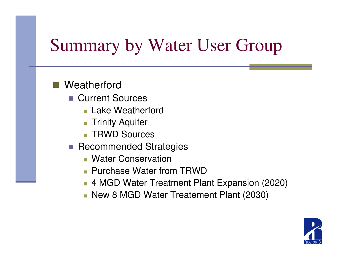#### **Service Service Weatherford**

- Current Sources
	- **Lake Weatherford**
	- $\overline{\mathbb{R}}$ Trinity Aquifer
	- $\blacksquare$ TRWD Sources
- **Recommended Strategies** 
	- П Water Conservation
	- **Purchase Water from TRWD**
	- 4 MGD Water Treatment Plant Expansion (2020)
	- New 8 MGD Water Treatement Plant (2030)

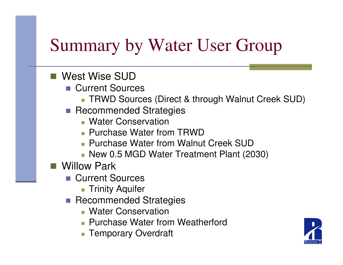- West Wise SUD
	- Current Sources
		- TRWD Sources (Direct & through Walnut Creek SUD)
	- **Recommended Strategies** 
		- **Nater Conservation**
		- **Purchase Water from TRWD**
		- **Purchase Water from Walnut Creek SUD**
		- New 0.5 MGD Water Treatment Plant (2030)
- **Service Service**  Willow Park
	- Current Sources
		- Trinity Aquifer
	- **Recommended Strategies** 
		- **Nater Conservation**
		- **Purchase Water from Weatherford**
		- **Temporary Overdraft**

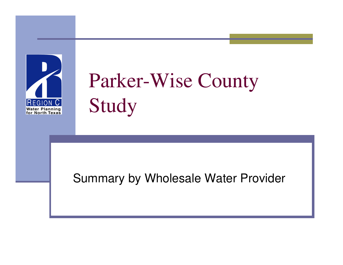

# Parker-Wise County Study

#### Summary by Wholesale Water Provider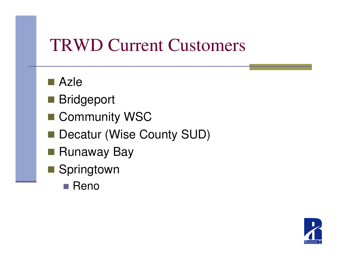## TRWD Current Customers

- Azle
- Bridgeport
- Community WSC
- Decatur (Wise County SUD)
- Runaway Bay
- Springtown
	- Reno

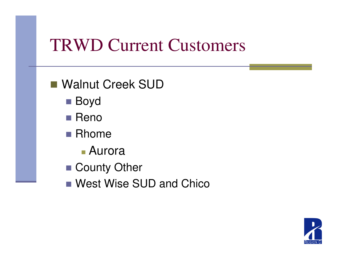## TRWD Current Customers

- Walnut Creek SUD
	- Boyd
	- Reno
	- Rhome
		- F. Aurora
	- County Other
	- West Wise SUD and Chico

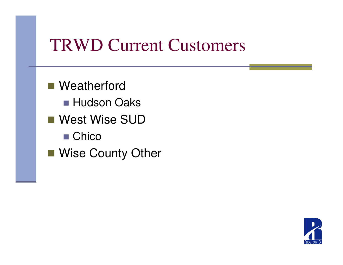## TRWD Current Customers

■ Weatherford ■ Hudson Oaks ■ West Wise SUD ■ Chico ■ Wise County Other

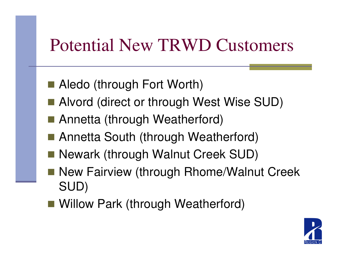## Potential New TRWD Customers

- Aledo (through Fort Worth)
- Alvord (direct or through West Wise SUD)
- Annetta (through Weatherford)
- Annetta South (through Weatherford)
- Newark (through Walnut Creek SUD)
- h<br>M New Fairview (through Rhome/Walnut Creek SUD)
- Willow Park (through Weatherford)

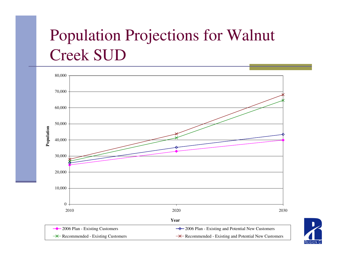## Population Projections for Walnut Creek SUD



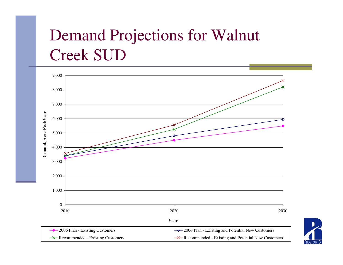## Demand Projections for Walnut Creek SUD



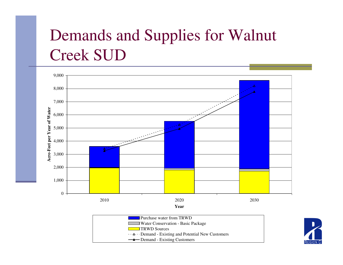## Demands and Supplies for Walnut Creek SUD





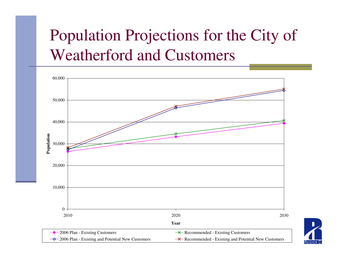## Population Projections for the City ofWeatherford and Customers



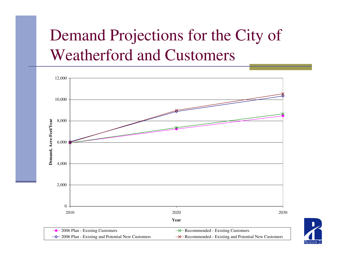## Demand Projections for the City ofWeatherford and Customers



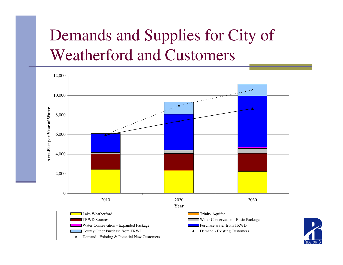## Demands and Supplies for City of Weatherford and Customers



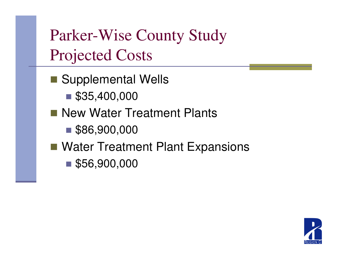Parker-Wise County Study Projected Costs

■ Supplemental Wells

 $\blacksquare$ \$35,400,000

**New Water Treatment Plants** 

■ \$86,900,000

■ Water Treatment Plant Expansions

■ \$56,900,000

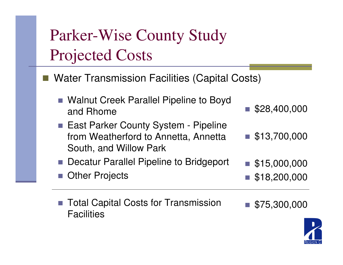## Parker-Wise County Study Projected Costs

- Water Transmission Facilities (Capital Costs)
	- Walnut Creek Parallel Pipeline to Boyd and Rhome
	- East Parker County System Pipeline from Weatherford to Annetta, AnnettaSouth, and Willow Park
	- n. Decatur Parallel Pipeline to Bridgeport
	- n. Other Projects
	- Total Capital Costs for Transmission **Facilities**
- $\blacksquare$  \$75,300,000

\$28,400,000

 $\blacksquare$  \$13,700,000

 $\blacksquare$  \$15,000,000

 $\blacksquare$  \$18,200,000

n.

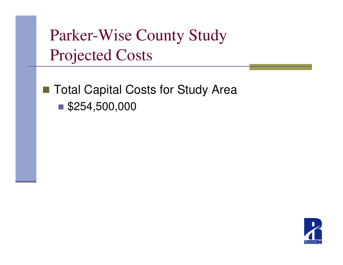Parker-Wise County Study Projected Costs

### ■ Total Capital Costs for Study Area \$254,500,000

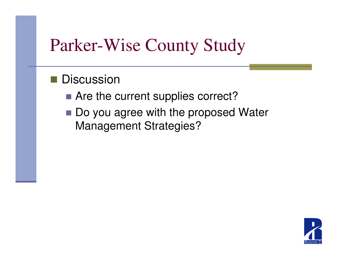### Parker-Wise County Study

## ■ Discussion

- Are the current supplies correct?
- Do you agree with the proposed Water Management Strategies?

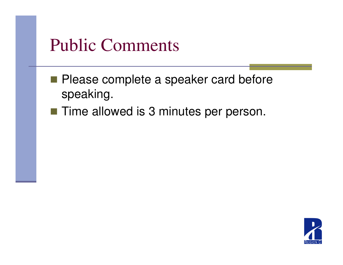### Public Comments

- **Please complete a speaker card before** speaking.
- Time allowed is 3 minutes per person.